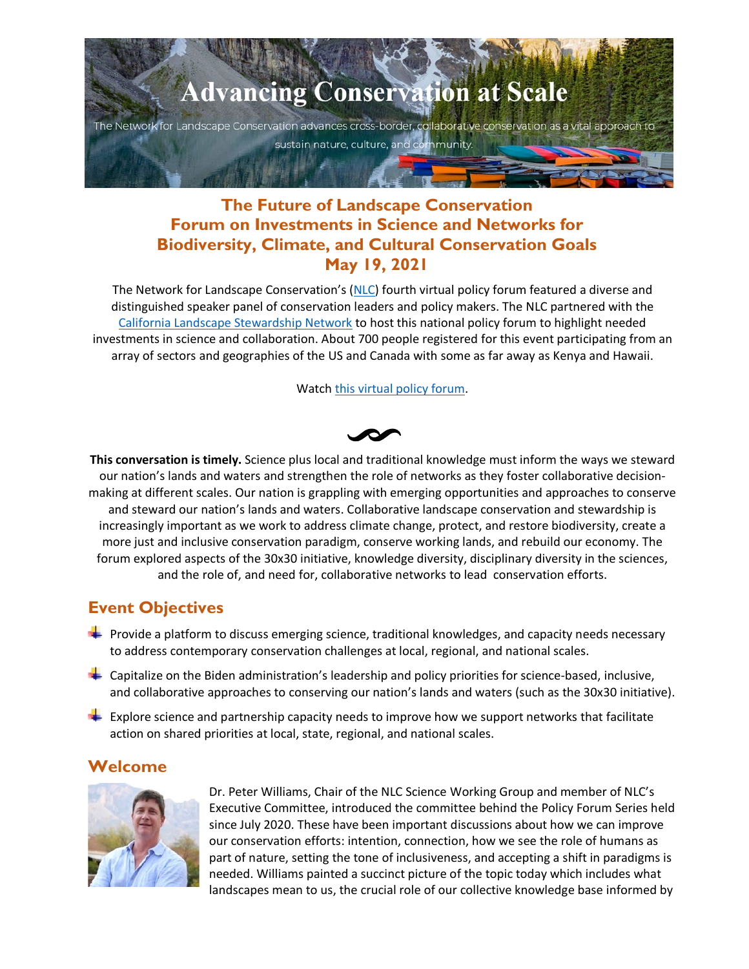# **Advancing Conservation at Scale** The Network for Landscape Conservation advances cross-border, collaborative conservation as a vital approach to sustain nature, culture, and community.

## **The Future of Landscape Conservation Forum on Investments in Science and Networks for Biodiversity, Climate, and Cultural Conservation Goals May 19, 2021**

The Network for Landscape Conservation's [\(NLC\)](https://landscapeconservation.org/) fourth virtual policy forum featured a diverse and distinguished speaker panel of conservation leaders and policy makers. The NLC partnered with the [California Landscape Stewardship Network](https://calandscapestewardshipnetwork.org/) to host this national policy forum to highlight needed investments in science and collaboration. About 700 people registered for this event participating from an array of sectors and geographies of the US and Canada with some as far away as Kenya and Hawaii.

Watch [this virtual policy forum.](https://landscapeconservation.org/our-work/policy-initiatives/virtual-policy-forum/)

**This conversation is timely.** Science plus local and traditional knowledge must inform the ways we steward our nation's lands and waters and strengthen the role of networks as they foster collaborative decisionmaking at different scales. Our nation is grappling with emerging opportunities and approaches to conserve and steward our nation's lands and waters. Collaborative landscape conservation and stewardship is increasingly important as we work to address climate change, protect, and restore biodiversity, create a more just and inclusive conservation paradigm, conserve working lands, and rebuild our economy. The forum explored aspects of the 30x30 initiative, knowledge diversity, disciplinary diversity in the sciences, and the role of, and need for, collaborative networks to lead conservation efforts.

## **Event Objectives**

- **Provide a platform to discuss emerging science, traditional knowledges, and capacity needs necessary** to address contemporary conservation challenges at local, regional, and national scales.
- $\blacksquare$  Capitalize on the Biden administration's leadership and policy priorities for science-based, inclusive, and collaborative approaches to conserving our nation's lands and waters (such as the 30x30 initiative).
- $\blacksquare$  Explore science and partnership capacity needs to improve how we support networks that facilitate action on shared priorities at local, state, regional, and national scales.

## **Welcome**



Dr. Peter Williams, Chair of the NLC Science Working Group and member of NLC's Executive Committee, introduced the committee behind the Policy Forum Series held since July 2020. These have been important discussions about how we can improve our conservation efforts: intention, connection, how we see the role of humans as part of nature, setting the tone of inclusiveness, and accepting a shift in paradigms is needed. Williams painted a succinct picture of the topic today which includes what landscapes mean to us, the crucial role of our collective knowledge base informed by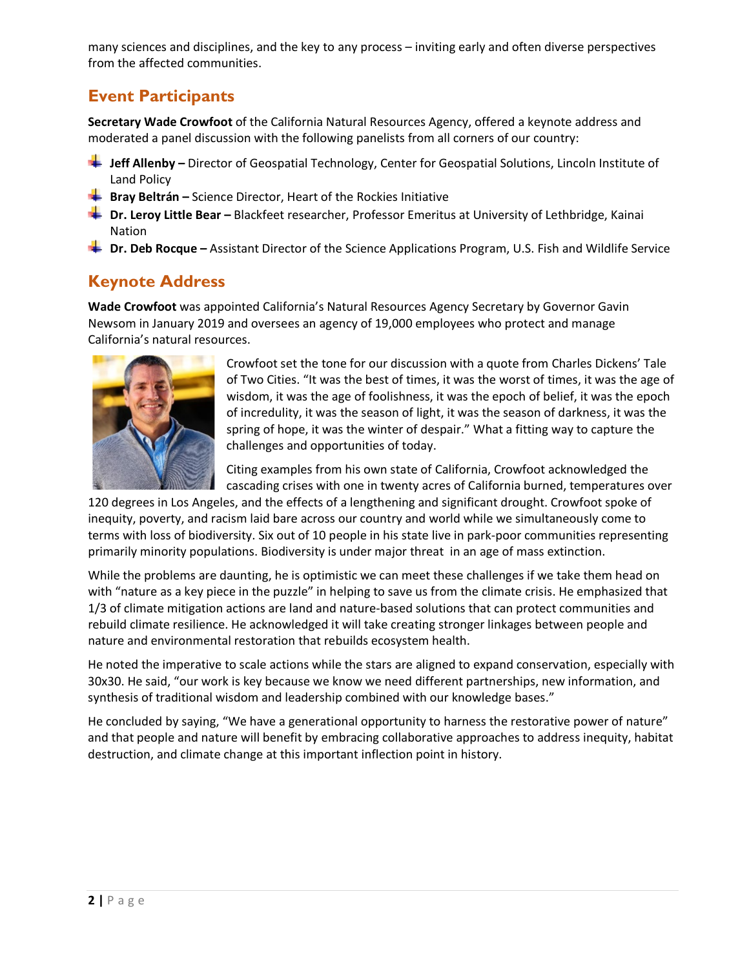many sciences and disciplines, and the key to any process – inviting early and often diverse perspectives from the affected communities.

## **Event Participants**

**Secretary Wade Crowfoot** of the California Natural Resources Agency, offered a keynote address and moderated a panel discussion with the following panelists from all corners of our country:

- **Jeff Allenby –** Director of Geospatial Technology, Center for Geospatial Solutions, Lincoln Institute of Land Policy
- **Bray Beltrán –** Science Director, Heart of the Rockies Initiative
- **Dr. Leroy Little Bear** Blackfeet researcher, Professor Emeritus at University of Lethbridge, Kainai Nation
- **Dr. Deb Rocque –** Assistant Director of the Science Applications Program, U.S. Fish and Wildlife Service

## **Keynote Address**

**Wade Crowfoot** was appointed California's Natural Resources Agency Secretary by Governor Gavin Newsom in January 2019 and oversees an agency of 19,000 employees who protect and manage California's natural resources.



Crowfoot set the tone for our discussion with a quote from Charles Dickens' Tale of Two Cities. "It was the best of times, it was the worst of times, it was the age of wisdom, it was the age of foolishness, it was the epoch of belief, it was the epoch of incredulity, it was the season of light, it was the season of darkness, it was the spring of hope, it was the winter of despair." What a fitting way to capture the challenges and opportunities of today.

Citing examples from his own state of California, Crowfoot acknowledged the cascading crises with one in twenty acres of California burned, temperatures over

120 degrees in Los Angeles, and the effects of a lengthening and significant drought. Crowfoot spoke of inequity, poverty, and racism laid bare across our country and world while we simultaneously come to terms with loss of biodiversity. Six out of 10 people in his state live in park-poor communities representing primarily minority populations. Biodiversity is under major threat in an age of mass extinction.

While the problems are daunting, he is optimistic we can meet these challenges if we take them head on with "nature as a key piece in the puzzle" in helping to save us from the climate crisis. He emphasized that 1/3 of climate mitigation actions are land and nature-based solutions that can protect communities and rebuild climate resilience. He acknowledged it will take creating stronger linkages between people and nature and environmental restoration that rebuilds ecosystem health.

He noted the imperative to scale actions while the stars are aligned to expand conservation, especially with 30x30. He said, "our work is key because we know we need different partnerships, new information, and synthesis of traditional wisdom and leadership combined with our knowledge bases."

He concluded by saying, "We have a generational opportunity to harness the restorative power of nature" and that people and nature will benefit by embracing collaborative approaches to address inequity, habitat destruction, and climate change at this important inflection point in history.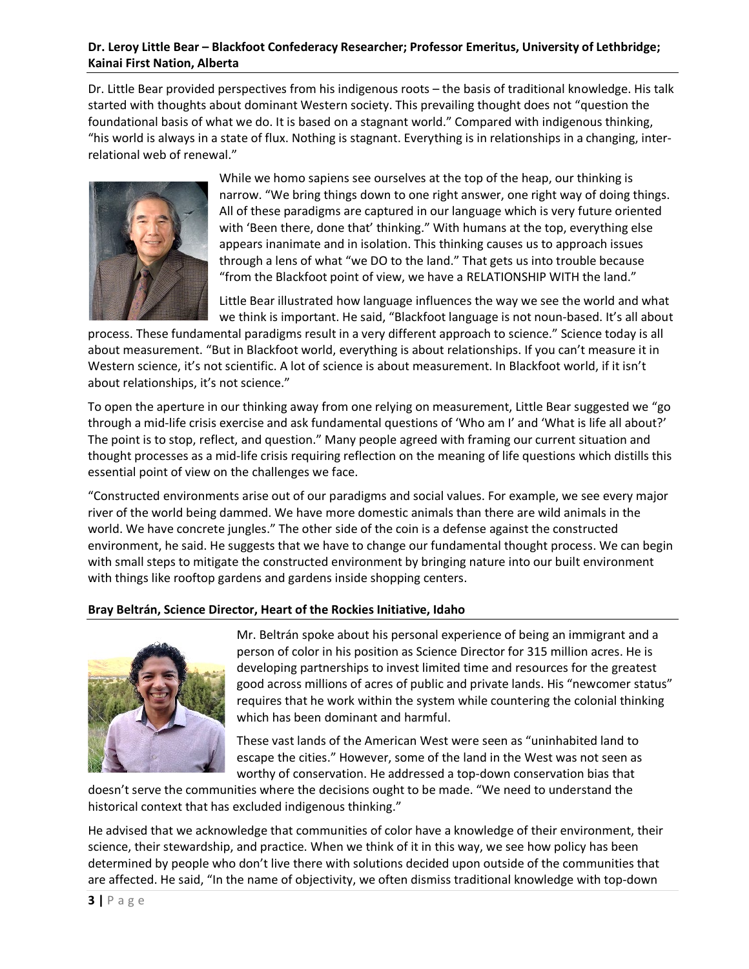#### **Dr. Leroy Little Bear – Blackfoot Confederacy Researcher; Professor Emeritus, University of Lethbridge; Kainai First Nation, Alberta**

Dr. Little Bear provided perspectives from his indigenous roots – the basis of traditional knowledge. His talk started with thoughts about dominant Western society. This prevailing thought does not "question the foundational basis of what we do. It is based on a stagnant world." Compared with indigenous thinking, "his world is always in a state of flux. Nothing is stagnant. Everything is in relationships in a changing, interrelational web of renewal."



While we homo sapiens see ourselves at the top of the heap, our thinking is narrow. "We bring things down to one right answer, one right way of doing things. All of these paradigms are captured in our language which is very future oriented with 'Been there, done that' thinking." With humans at the top, everything else appears inanimate and in isolation. This thinking causes us to approach issues through a lens of what "we DO to the land." That gets us into trouble because "from the Blackfoot point of view, we have a RELATIONSHIP WITH the land."

Little Bear illustrated how language influences the way we see the world and what we think is important. He said, "Blackfoot language is not noun-based. It's all about

process. These fundamental paradigms result in a very different approach to science." Science today is all about measurement. "But in Blackfoot world, everything is about relationships. If you can't measure it in Western science, it's not scientific. A lot of science is about measurement. In Blackfoot world, if it isn't about relationships, it's not science."

To open the aperture in our thinking away from one relying on measurement, Little Bear suggested we "go through a mid-life crisis exercise and ask fundamental questions of 'Who am I' and 'What is life all about?' The point is to stop, reflect, and question." Many people agreed with framing our current situation and thought processes as a mid-life crisis requiring reflection on the meaning of life questions which distills this essential point of view on the challenges we face.

"Constructed environments arise out of our paradigms and social values. For example, we see every major river of the world being dammed. We have more domestic animals than there are wild animals in the world. We have concrete jungles." The other side of the coin is a defense against the constructed environment, he said. He suggests that we have to change our fundamental thought process. We can begin with small steps to mitigate the constructed environment by bringing nature into our built environment with things like rooftop gardens and gardens inside shopping centers.

#### **Bray Beltrán, Science Director, Heart of the Rockies Initiative, Idaho**



Mr. Beltrán spoke about his personal experience of being an immigrant and a person of color in his position as Science Director for 315 million acres. He is developing partnerships to invest limited time and resources for the greatest good across millions of acres of public and private lands. His "newcomer status" requires that he work within the system while countering the colonial thinking which has been dominant and harmful.

These vast lands of the American West were seen as "uninhabited land to escape the cities." However, some of the land in the West was not seen as worthy of conservation. He addressed a top-down conservation bias that

doesn't serve the communities where the decisions ought to be made. "We need to understand the historical context that has excluded indigenous thinking."

He advised that we acknowledge that communities of color have a knowledge of their environment, their science, their stewardship, and practice. When we think of it in this way, we see how policy has been determined by people who don't live there with solutions decided upon outside of the communities that are affected. He said, "In the name of objectivity, we often dismiss traditional knowledge with top-down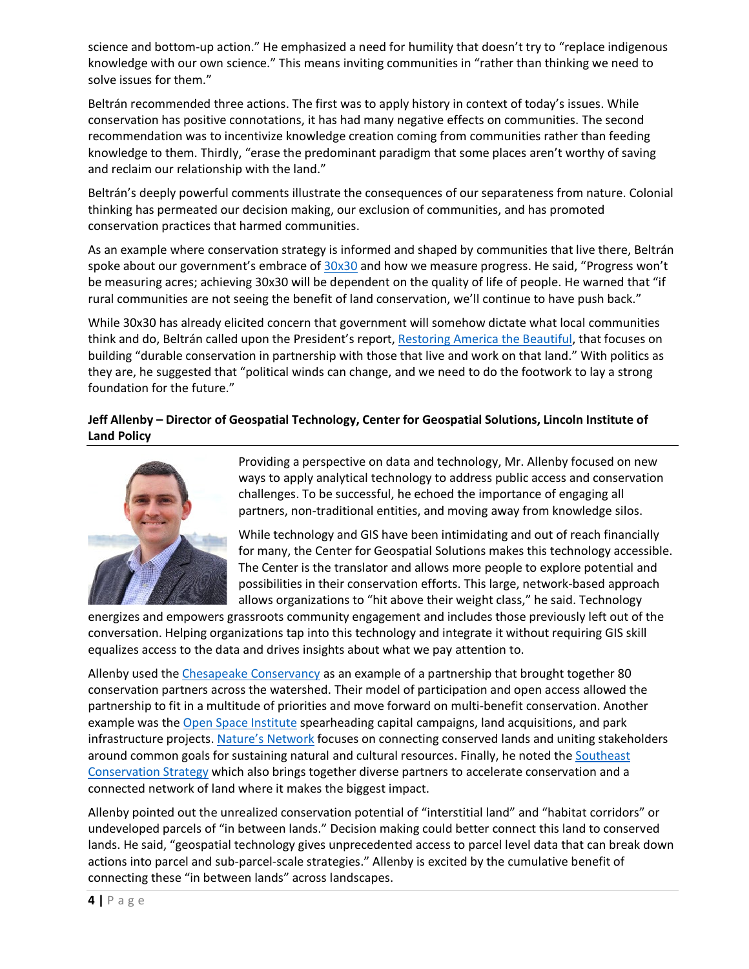science and bottom-up action." He emphasized a need for humility that doesn't try to "replace indigenous knowledge with our own science." This means inviting communities in "rather than thinking we need to solve issues for them."

Beltrán recommended three actions. The first was to apply history in context of today's issues. While conservation has positive connotations, it has had many negative effects on communities. The second recommendation was to incentivize knowledge creation coming from communities rather than feeding knowledge to them. Thirdly, "erase the predominant paradigm that some places aren't worthy of saving and reclaim our relationship with the land."

Beltrán's deeply powerful comments illustrate the consequences of our separateness from nature. Colonial thinking has permeated our decision making, our exclusion of communities, and has promoted conservation practices that harmed communities.

As an example where conservation strategy is informed and shaped by communities that live there, Beltrán spoke about our government's embrace of  $30x30$  and how we measure progress. He said, "Progress won't be measuring acres; achieving 30x30 will be dependent on the quality of life of people. He warned that "if rural communities are not seeing the benefit of land conservation, we'll continue to have push back."

While 30x30 has already elicited concern that government will somehow dictate what local communities think and do, Beltrán called upon the President's report, [Restoring America the Beautiful,](https://www.doi.gov/sites/doi.gov/files/report-conserving-and-restoring-america-the-beautiful-2021.pdf) that focuses on building "durable conservation in partnership with those that live and work on that land." With politics as they are, he suggested that "political winds can change, and we need to do the footwork to lay a strong foundation for the future."

#### **Jeff Allenby – Director of Geospatial Technology, Center for Geospatial Solutions, Lincoln Institute of Land Policy**



Providing a perspective on data and technology, Mr. Allenby focused on new ways to apply analytical technology to address public access and conservation challenges. To be successful, he echoed the importance of engaging all partners, non-traditional entities, and moving away from knowledge silos.

While technology and GIS have been intimidating and out of reach financially for many, the Center for Geospatial Solutions makes this technology accessible. The Center is the translator and allows more people to explore potential and possibilities in their conservation efforts. This large, network-based approach allows organizations to "hit above their weight class," he said. Technology

energizes and empowers grassroots community engagement and includes those previously left out of the conversation. Helping organizations tap into this technology and integrate it without requiring GIS skill equalizes access to the data and drives insights about what we pay attention to.

Allenby used the [Chesapeake Conservancy](https://www.chesapeakeconservancy.org/who-we-are/about-us/) as an example of a partnership that brought together 80 conservation partners across the watershed. Their model of participation and open access allowed the partnership to fit in a multitude of priorities and move forward on multi-benefit conservation. Another example was the [Open Space Institute](https://www.openspaceinstitute.org/about) spearheading capital campaigns, land acquisitions, and park infrastructure projects[. Nature's Network](http://www.naturesnetwork.org/) focuses on connecting conserved lands and uniting stakeholders around common goals for sustaining natural and cultural resources. Finally, he noted the Southeast [Conservation Strategy](https://secassoutheast.org/) which also brings together diverse partners to accelerate conservation and a connected network of land where it makes the biggest impact.

Allenby pointed out the unrealized conservation potential of "interstitial land" and "habitat corridors" or undeveloped parcels of "in between lands." Decision making could better connect this land to conserved lands. He said, "geospatial technology gives unprecedented access to parcel level data that can break down actions into parcel and sub-parcel-scale strategies." Allenby is excited by the cumulative benefit of connecting these "in between lands" across landscapes.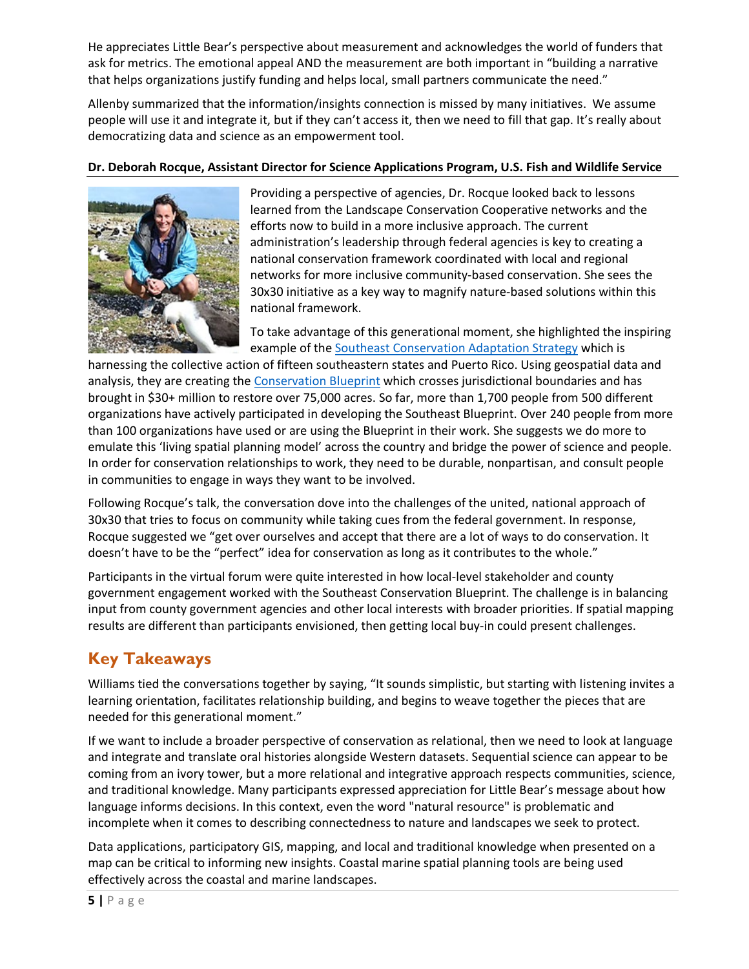He appreciates Little Bear's perspective about measurement and acknowledges the world of funders that ask for metrics. The emotional appeal AND the measurement are both important in "building a narrative that helps organizations justify funding and helps local, small partners communicate the need."

Allenby summarized that the information/insights connection is missed by many initiatives. We assume people will use it and integrate it, but if they can't access it, then we need to fill that gap. It's really about democratizing data and science as an empowerment tool.

#### **Dr. Deborah Rocque, Assistant Director for Science Applications Program, U.S. Fish and Wildlife Service**



Providing a perspective of agencies, Dr. Rocque looked back to lessons learned from the Landscape Conservation Cooperative networks and the efforts now to build in a more inclusive approach. The current administration's leadership through federal agencies is key to creating a national conservation framework coordinated with local and regional networks for more inclusive community-based conservation. She sees the 30x30 initiative as a key way to magnify nature-based solutions within this national framework.

To take advantage of this generational moment, she highlighted the inspiring example of the [Southeast Conservation Adaptation Strategy](https://secassoutheast.org/blueprint) which is

harnessing the collective action of fifteen southeastern states and Puerto Rico. Using geospatial data and analysis, they are creating the [Conservation Blueprint](https://secassoutheast.org/blueprint) which crosses jurisdictional boundaries and has brought in \$30+ million to restore over 75,000 acres. So far, more than 1,700 people from 500 different organizations have actively participated in developing the Southeast Blueprint. Over 240 people from more than 100 organizations have used or are using the Blueprint in their work. She suggests we do more to emulate this 'living spatial planning model' across the country and bridge the power of science and people. In order for conservation relationships to work, they need to be durable, nonpartisan, and consult people in communities to engage in ways they want to be involved.

Following Rocque's talk, the conversation dove into the challenges of the united, national approach of 30x30 that tries to focus on community while taking cues from the federal government. In response, Rocque suggested we "get over ourselves and accept that there are a lot of ways to do conservation. It doesn't have to be the "perfect" idea for conservation as long as it contributes to the whole."

Participants in the virtual forum were quite interested in how local-level stakeholder and county government engagement worked with the Southeast Conservation Blueprint. The challenge is in balancing input from county government agencies and other local interests with broader priorities. If spatial mapping results are different than participants envisioned, then getting local buy-in could present challenges.

# **Key Takeaways**

Williams tied the conversations together by saying, "It sounds simplistic, but starting with listening invites a learning orientation, facilitates relationship building, and begins to weave together the pieces that are needed for this generational moment."

If we want to include a broader perspective of conservation as relational, then we need to look at language and integrate and translate oral histories alongside Western datasets. Sequential science can appear to be coming from an ivory tower, but a more relational and integrative approach respects communities, science, and traditional knowledge. Many participants expressed appreciation for Little Bear's message about how language informs decisions. In this context, even the word "natural resource" is problematic and incomplete when it comes to describing connectedness to nature and landscapes we seek to protect.

Data applications, participatory GIS, mapping, and local and traditional knowledge when presented on a map can be critical to informing new insights. Coastal marine spatial planning tools are being used effectively across the coastal and marine landscapes.